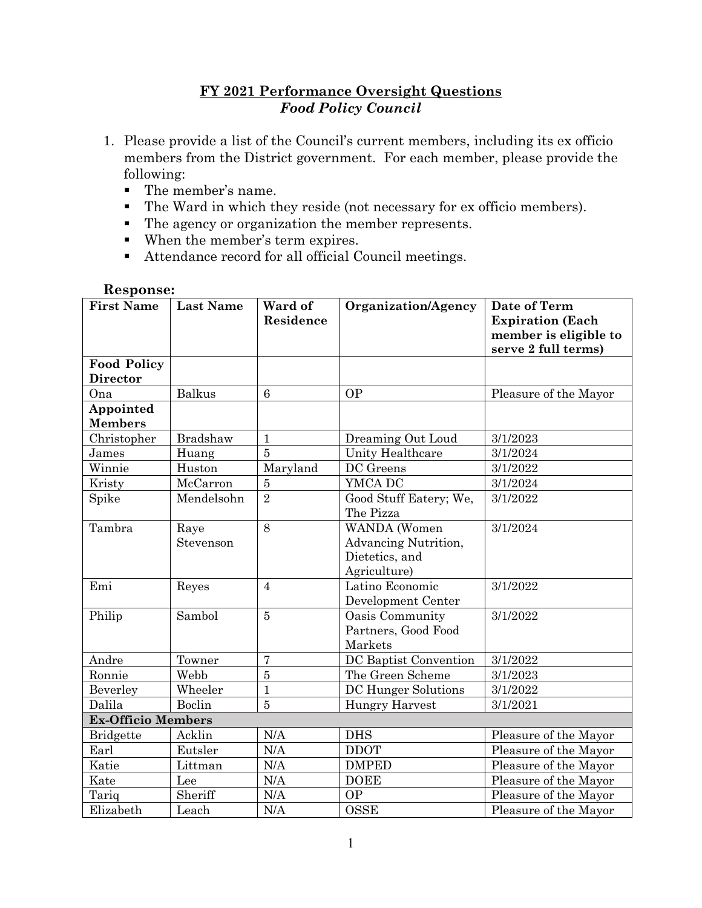### **FY 2021 Performance Oversight Questions** *Food Policy Council*

- 1. Please provide a list of the Council's current members, including its ex officio members from the District government. For each member, please provide the following:
	- The member's name.
	- The Ward in which they reside (not necessary for ex officio members).
	- The agency or organization the member represents.
	- When the member's term expires.
	- Attendance record for all official Council meetings.

#### **Response:**

| <b>First Name</b>                     | <b>Last Name</b>  | Ward of<br>Residence | Organization/Agency                                                    | Date of Term<br><b>Expiration</b> (Each<br>member is eligible to<br>serve 2 full terms) |
|---------------------------------------|-------------------|----------------------|------------------------------------------------------------------------|-----------------------------------------------------------------------------------------|
| <b>Food Policy</b><br><b>Director</b> |                   |                      |                                                                        |                                                                                         |
| Ona                                   | <b>Balkus</b>     | $6\phantom{.}6$      | <b>OP</b>                                                              | Pleasure of the Mayor                                                                   |
| Appointed<br><b>Members</b>           |                   |                      |                                                                        |                                                                                         |
| Christopher                           | Bradshaw          | $\mathbf{1}$         | Dreaming Out Loud                                                      | 3/1/2023                                                                                |
| James                                 | Huang             | 5                    | Unity Healthcare                                                       | 3/1/2024                                                                                |
| Winnie                                | Huston            | Maryland             | DC Greens                                                              | 3/1/2022                                                                                |
| Kristy                                | McCarron          | $\overline{5}$       | YMCA DC                                                                | 3/1/2024                                                                                |
| Spike                                 | Mendelsohn        | $\overline{2}$       | Good Stuff Eatery; We,<br>The Pizza                                    | 3/1/2022                                                                                |
| Tambra                                | Raye<br>Stevenson | 8                    | WANDA (Women<br>Advancing Nutrition,<br>Dietetics, and<br>Agriculture) | 3/1/2024                                                                                |
| Emi                                   | Reyes             | $\overline{4}$       | Latino Economic<br>Development Center                                  | 3/1/2022                                                                                |
| Philip                                | Sambol            | $\overline{5}$       | Oasis Community<br>Partners, Good Food<br>Markets                      | 3/1/2022                                                                                |
| Andre                                 | Towner            | $\overline{7}$       | DC Baptist Convention                                                  | 3/1/2022                                                                                |
| Ronnie                                | Webb              | $\overline{5}$       | The Green Scheme                                                       | 3/1/2023                                                                                |
| Beverley                              | Wheeler           | $\mathbf{1}$         | DC Hunger Solutions                                                    | 3/1/2022                                                                                |
| Dalila                                | Boclin            | 5                    | <b>Hungry Harvest</b>                                                  | 3/1/2021                                                                                |
| <b>Ex-Officio Members</b>             |                   |                      |                                                                        |                                                                                         |
| <b>Bridgette</b>                      | Acklin            | N/A                  | <b>DHS</b>                                                             | Pleasure of the Mayor                                                                   |
| Earl                                  | Eutsler           | N/A                  | <b>DDOT</b>                                                            | Pleasure of the Mayor                                                                   |
| Katie                                 | Littman           | N/A                  | <b>DMPED</b>                                                           | Pleasure of the Mayor                                                                   |
| Kate                                  | Lee               | N/A                  | <b>DOEE</b>                                                            | Pleasure of the Mayor                                                                   |
| Tariq                                 | Sheriff           | N/A                  | <b>OP</b>                                                              | Pleasure of the Mayor                                                                   |
| Elizabeth                             | Leach             | N/A                  | <b>OSSE</b>                                                            | Pleasure of the Mayor                                                                   |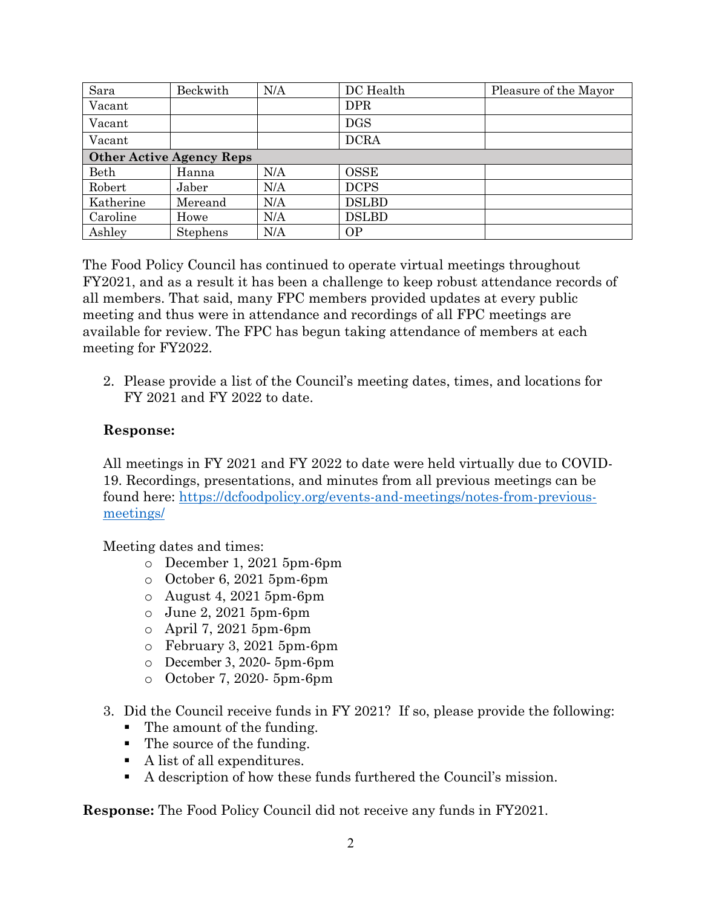| Sara                            | Beckwith | N/A | DC Health    | Pleasure of the Mayor |  |  |
|---------------------------------|----------|-----|--------------|-----------------------|--|--|
| Vacant                          |          |     | <b>DPR</b>   |                       |  |  |
| Vacant                          |          |     | <b>DGS</b>   |                       |  |  |
| Vacant                          |          |     | <b>DCRA</b>  |                       |  |  |
| <b>Other Active Agency Reps</b> |          |     |              |                       |  |  |
| Beth                            | Hanna    | N/A | <b>OSSE</b>  |                       |  |  |
| Robert                          | Jaber    | N/A | <b>DCPS</b>  |                       |  |  |
| Katherine                       | Mereand  | N/A | <b>DSLBD</b> |                       |  |  |
| Caroline                        | Howe     | N/A | <b>DSLBD</b> |                       |  |  |
| Ashley                          | Stephens | N/A | <b>OP</b>    |                       |  |  |

The Food Policy Council has continued to operate virtual meetings throughout FY2021, and as a result it has been a challenge to keep robust attendance records of all members. That said, many FPC members provided updates at every public meeting and thus were in attendance and recordings of all FPC meetings are available for review. The FPC has begun taking attendance of members at each meeting for FY2022.

2. Please provide a list of the Council's meeting dates, times, and locations for FY 2021 and FY 2022 to date.

### **Response:**

All meetings in FY 2021 and FY 2022 to date were held virtually due to COVID-19. Recordings, presentations, and minutes from all previous meetings can be found here: [https://dcfoodpolicy.org/events-and-meetings/notes-from-previous](https://dcfoodpolicy.org/events-and-meetings/notes-from-previous-meetings/)[meetings/](https://dcfoodpolicy.org/events-and-meetings/notes-from-previous-meetings/)

Meeting dates and times:

- o December 1, 2021 5pm-6pm
- o October 6, 2021 5pm-6pm
- $\circ$  August 4, 2021 5pm-6pm
- o June 2, 2021 5pm-6pm
- o April 7, 2021 5pm-6pm
- o February 3, 2021 5pm-6pm
- o December 3, 2020- 5pm-6pm
- o October 7, 2020- 5pm-6pm
- 3. Did the Council receive funds in FY 2021? If so, please provide the following:
	- The amount of the funding.
	- The source of the funding.
	- A list of all expenditures.
	- A description of how these funds furthered the Council's mission.

**Response:** The Food Policy Council did not receive any funds in FY2021.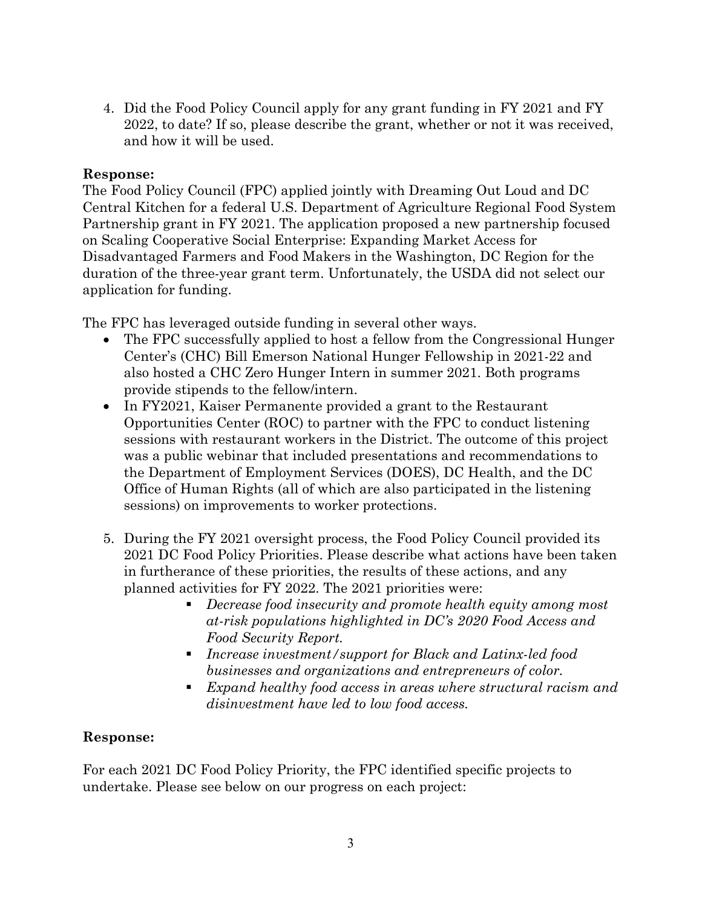4. Did the Food Policy Council apply for any grant funding in FY 2021 and FY 2022, to date? If so, please describe the grant, whether or not it was received, and how it will be used.

### **Response:**

The Food Policy Council (FPC) applied jointly with Dreaming Out Loud and DC Central Kitchen for a federal U.S. Department of Agriculture Regional Food System Partnership grant in FY 2021. The application proposed a new partnership focused on Scaling Cooperative Social Enterprise: Expanding Market Access for Disadvantaged Farmers and Food Makers in the Washington, DC Region for the duration of the three-year grant term. Unfortunately, the USDA did not select our application for funding.

The FPC has leveraged outside funding in several other ways.

- The FPC successfully applied to host a fellow from the Congressional Hunger Center's (CHC) Bill Emerson National Hunger Fellowship in 2021-22 and also hosted a CHC Zero Hunger Intern in summer 2021. Both programs provide stipends to the fellow/intern.
- In FY2021, Kaiser Permanente provided a grant to the Restaurant Opportunities Center (ROC) to partner with the FPC to conduct listening sessions with restaurant workers in the District. The outcome of this project was a public webinar that included presentations and recommendations to the Department of Employment Services (DOES), DC Health, and the DC Office of Human Rights (all of which are also participated in the listening sessions) on improvements to worker protections.
- 5. During the FY 2021 oversight process, the Food Policy Council provided its 2021 DC Food Policy Priorities. Please describe what actions have been taken in furtherance of these priorities, the results of these actions, and any planned activities for FY 2022. The 2021 priorities were:
	- *Decrease food insecurity and promote health equity among most at-risk populations highlighted in DC's 2020 Food Access and Food Security Report.*
	- *Increase investment/support for Black and Latinx-led food businesses and organizations and entrepreneurs of color.*
	- *Expand healthy food access in areas where structural racism and disinvestment have led to low food access.*

# **Response:**

For each 2021 DC Food Policy Priority, the FPC identified specific projects to undertake. Please see below on our progress on each project: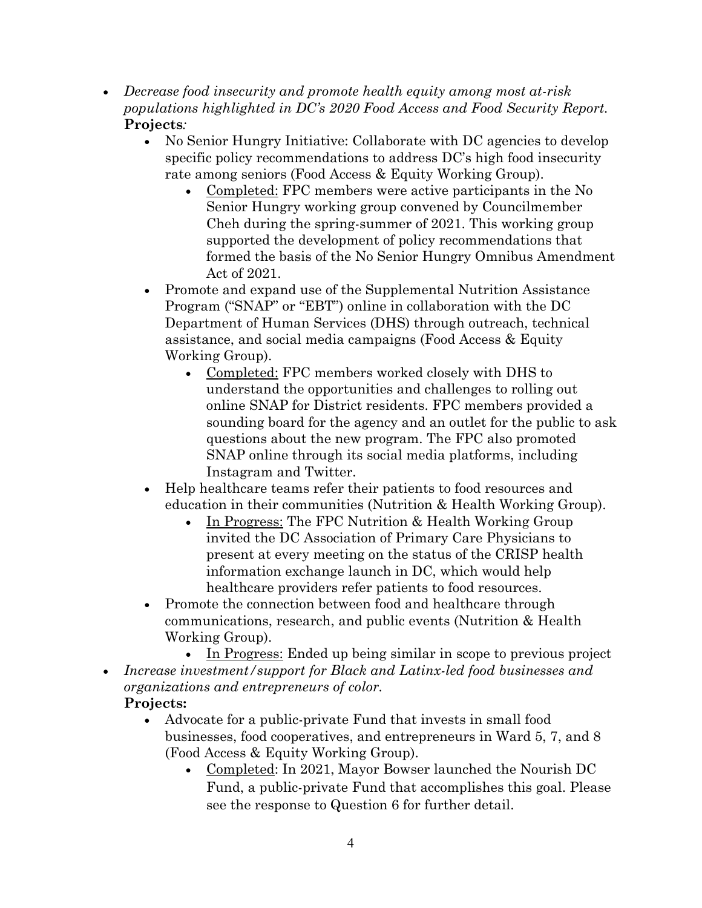- *Decrease food insecurity and promote health equity among most at-risk populations highlighted in DC's 2020 Food Access and Food Security Report.* **Projects***:* 
	- No Senior Hungry Initiative: Collaborate with DC agencies to develop specific policy recommendations to address DC's high food insecurity rate among seniors (Food Access & Equity Working Group).
		- Completed: FPC members were active participants in the No Senior Hungry working group convened by Councilmember Cheh during the spring-summer of 2021. This working group supported the development of policy recommendations that formed the basis of the No Senior Hungry Omnibus Amendment Act of 2021.
	- Promote and expand use of the Supplemental Nutrition Assistance Program ("SNAP" or "EBT") online in collaboration with the DC Department of Human Services (DHS) through outreach, technical assistance, and social media campaigns (Food Access & Equity Working Group).
		- Completed: FPC members worked closely with DHS to understand the opportunities and challenges to rolling out online SNAP for District residents. FPC members provided a sounding board for the agency and an outlet for the public to ask questions about the new program. The FPC also promoted SNAP online through its social media platforms, including Instagram and Twitter.
	- Help healthcare teams refer their patients to food resources and education in their communities (Nutrition & Health Working Group).
		- In Progress: The FPC Nutrition & Health Working Group invited the DC Association of Primary Care Physicians to present at every meeting on the status of the CRISP health information exchange launch in DC, which would help healthcare providers refer patients to food resources.
	- Promote the connection between food and healthcare through communications, research, and public events (Nutrition & Health Working Group).
- In Progress: Ended up being similar in scope to previous project • *Increase investment/support for Black and Latinx-led food businesses and organizations and entrepreneurs of color.*

# **Projects:**

- Advocate for a public-private Fund that invests in small food businesses, food cooperatives, and entrepreneurs in Ward 5, 7, and 8 (Food Access & Equity Working Group).
	- Completed: In 2021, Mayor Bowser launched the Nourish DC Fund, a public-private Fund that accomplishes this goal. Please see the response to Question 6 for further detail.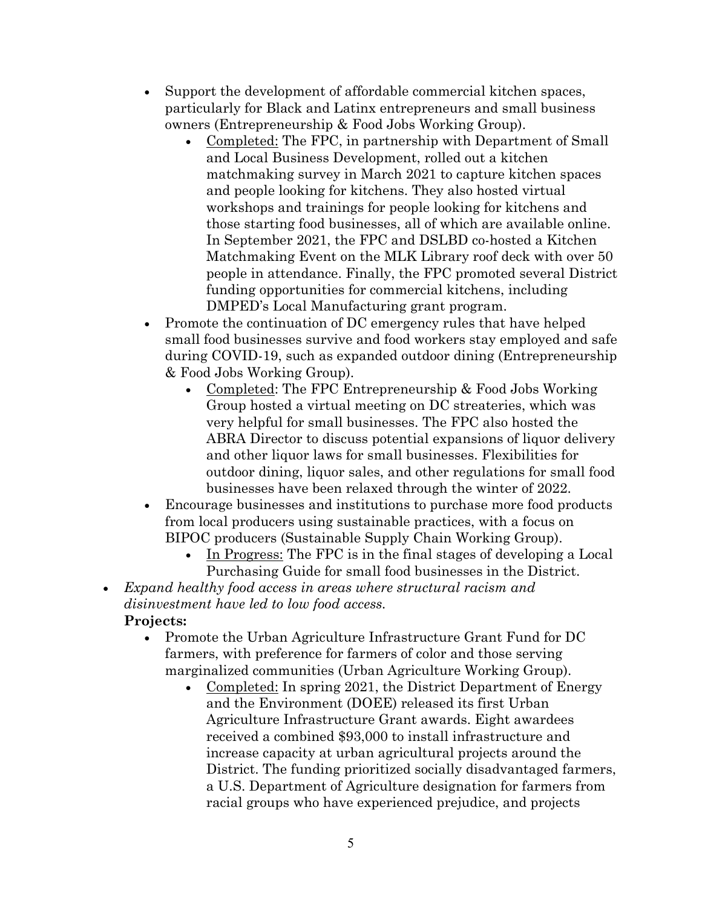- Support the development of affordable commercial kitchen spaces, particularly for Black and Latinx entrepreneurs and small business owners (Entrepreneurship & Food Jobs Working Group).
	- Completed: The FPC, in partnership with Department of Small and Local Business Development, rolled out a kitchen matchmaking survey in March 2021 to capture kitchen spaces and people looking for kitchens. They also hosted virtual workshops and trainings for people looking for kitchens and those starting food businesses, all of which are available online. In September 2021, the FPC and DSLBD co-hosted a Kitchen Matchmaking Event on the MLK Library roof deck with over 50 people in attendance. Finally, the FPC promoted several District funding opportunities for commercial kitchens, including DMPED's Local Manufacturing grant program.
- Promote the continuation of DC emergency rules that have helped small food businesses survive and food workers stay employed and safe during COVID-19, such as expanded outdoor dining (Entrepreneurship & Food Jobs Working Group).
	- Completed: The FPC Entrepreneurship & Food Jobs Working Group hosted a virtual meeting on DC streateries, which was very helpful for small businesses. The FPC also hosted the ABRA Director to discuss potential expansions of liquor delivery and other liquor laws for small businesses. Flexibilities for outdoor dining, liquor sales, and other regulations for small food businesses have been relaxed through the winter of 2022.
- Encourage businesses and institutions to purchase more food products from local producers using sustainable practices, with a focus on BIPOC producers (Sustainable Supply Chain Working Group).
	- In Progress: The FPC is in the final stages of developing a Local Purchasing Guide for small food businesses in the District.
- *Expand healthy food access in areas where structural racism and disinvestment have led to low food access.* **Projects:**
	- Promote the Urban Agriculture Infrastructure Grant Fund for DC farmers, with preference for farmers of color and those serving marginalized communities (Urban Agriculture Working Group).
		- Completed: In spring 2021, the District Department of Energy and the Environment (DOEE) released its first Urban Agriculture Infrastructure Grant awards. Eight awardees received a combined \$93,000 to install infrastructure and increase capacity at urban agricultural projects around the District. The funding prioritized socially disadvantaged farmers, a U.S. Department of Agriculture designation for farmers from racial groups who have experienced prejudice, and projects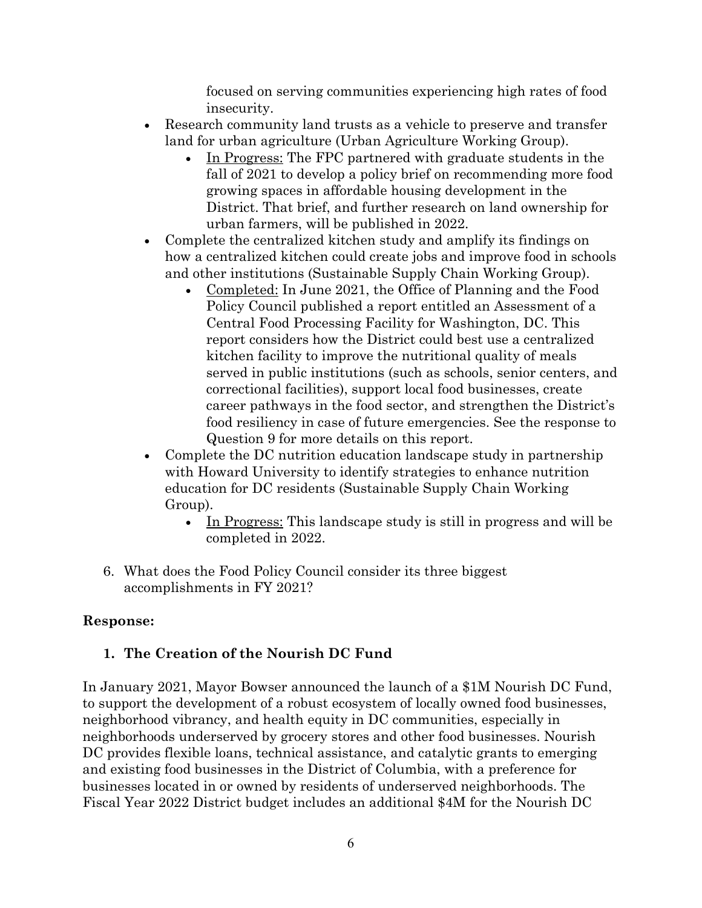focused on serving communities experiencing high rates of food insecurity.

- Research community land trusts as a vehicle to preserve and transfer land for urban agriculture (Urban Agriculture Working Group).
	- In Progress: The FPC partnered with graduate students in the fall of 2021 to develop a policy brief on recommending more food growing spaces in affordable housing development in the District. That brief, and further research on land ownership for urban farmers, will be published in 2022.
- Complete the centralized kitchen study and amplify its findings on how a centralized kitchen could create jobs and improve food in schools and other institutions (Sustainable Supply Chain Working Group).
	- Completed: In June 2021, the Office of Planning and the Food Policy Council published a report entitled an Assessment of a Central Food Processing Facility for Washington, DC. This report considers how the District could best use a centralized kitchen facility to improve the nutritional quality of meals served in public institutions (such as schools, senior centers, and correctional facilities), support local food businesses, create career pathways in the food sector, and strengthen the District's food resiliency in case of future emergencies. See the response to Question 9 for more details on this report.
- Complete the DC nutrition education landscape study in partnership with Howard University to identify strategies to enhance nutrition education for DC residents (Sustainable Supply Chain Working Group).
	- In Progress: This landscape study is still in progress and will be completed in 2022.
- 6. What does the Food Policy Council consider its three biggest accomplishments in FY 2021?

# **Response:**

# **1. The Creation of the Nourish DC Fund**

In January 2021, Mayor Bowser announced the launch of a \$1M Nourish DC Fund, to support the development of a robust ecosystem of locally owned food businesses, neighborhood vibrancy, and health equity in DC communities, especially in neighborhoods underserved by grocery stores and other food businesses. Nourish DC provides flexible loans, technical assistance, and catalytic grants to emerging and existing food businesses in the District of Columbia, with a preference for businesses located in or owned by residents of underserved neighborhoods. The Fiscal Year 2022 District budget includes an additional \$4M for the Nourish DC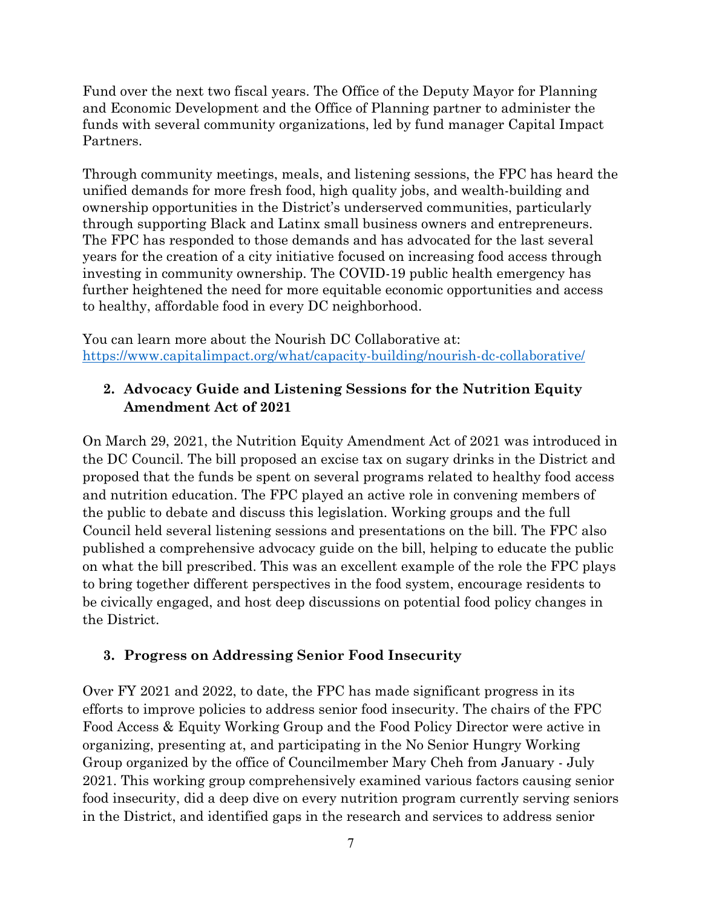Fund over the next two fiscal years. The Office of the Deputy Mayor for Planning and Economic Development and the Office of Planning partner to administer the funds with several community organizations, led by fund manager Capital Impact Partners.

Through community meetings, meals, and listening sessions, the FPC has heard the unified demands for more fresh food, high quality jobs, and wealth-building and ownership opportunities in the District's underserved communities, particularly through supporting Black and Latinx small business owners and entrepreneurs. The FPC has responded to those demands and has advocated for the last several years for the creation of a city initiative focused on increasing food access through investing in community ownership. The COVID-19 public health emergency has further heightened the need for more equitable economic opportunities and access to healthy, affordable food in every DC neighborhood.

You can learn more about the Nourish DC Collaborative at: <https://www.capitalimpact.org/what/capacity-building/nourish-dc-collaborative/>

# **2. Advocacy Guide and Listening Sessions for the Nutrition Equity Amendment Act of 2021**

On March 29, 2021, the Nutrition Equity Amendment Act of 2021 was introduced in the DC Council. The bill proposed an excise tax on sugary drinks in the District and proposed that the funds be spent on several programs related to healthy food access and nutrition education. The FPC played an active role in convening members of the public to debate and discuss this legislation. Working groups and the full Council held several listening sessions and presentations on the bill. The FPC also published a comprehensive advocacy guide on the bill, helping to educate the public on what the bill prescribed. This was an excellent example of the role the FPC plays to bring together different perspectives in the food system, encourage residents to be civically engaged, and host deep discussions on potential food policy changes in the District.

# **3. Progress on Addressing Senior Food Insecurity**

Over FY 2021 and 2022, to date, the FPC has made significant progress in its efforts to improve policies to address senior food insecurity. The chairs of the FPC Food Access & Equity Working Group and the Food Policy Director were active in organizing, presenting at, and participating in the No Senior Hungry Working Group organized by the office of Councilmember Mary Cheh from January - July 2021. This working group comprehensively examined various factors causing senior food insecurity, did a deep dive on every nutrition program currently serving seniors in the District, and identified gaps in the research and services to address senior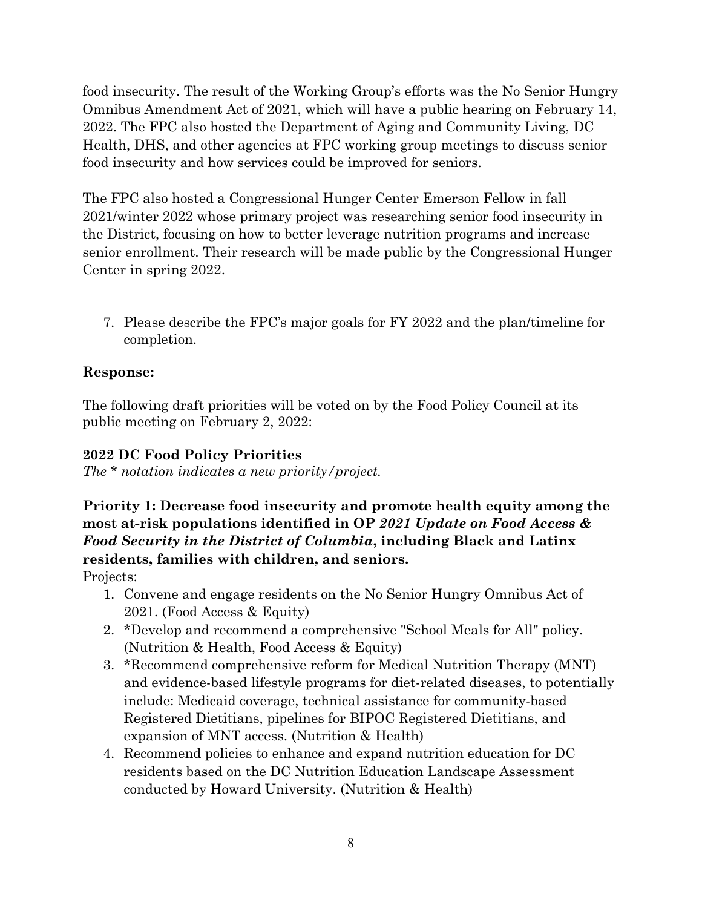food insecurity. The result of the Working Group's efforts was the No Senior Hungry Omnibus Amendment Act of 2021, which will have a public hearing on February 14, 2022. The FPC also hosted the Department of Aging and Community Living, DC Health, DHS, and other agencies at FPC working group meetings to discuss senior food insecurity and how services could be improved for seniors.

The FPC also hosted a Congressional Hunger Center Emerson Fellow in fall 2021/winter 2022 whose primary project was researching senior food insecurity in the District, focusing on how to better leverage nutrition programs and increase senior enrollment. Their research will be made public by the Congressional Hunger Center in spring 2022.

7. Please describe the FPC's major goals for FY 2022 and the plan/timeline for completion.

# **Response:**

The following draft priorities will be voted on by the Food Policy Council at its public meeting on February 2, 2022:

# **2022 DC Food Policy Priorities**

*The \* notation indicates a new priority/project.*

**Priority 1: Decrease food insecurity and promote health equity among the most at-risk populations identified in OP** *2021 Update on Food Access & Food Security in the District of Columbia***, including Black and Latinx residents, families with children, and seniors.**

Projects:

- 1. Convene and engage residents on the No Senior Hungry Omnibus Act of 2021. (Food Access & Equity)
- 2. \*Develop and recommend a comprehensive "School Meals for All" policy. (Nutrition & Health, Food Access & Equity)
- 3. \*Recommend comprehensive reform for Medical Nutrition Therapy (MNT) and evidence-based lifestyle programs for diet-related diseases, to potentially include: Medicaid coverage, technical assistance for community-based Registered Dietitians, pipelines for BIPOC Registered Dietitians, and expansion of MNT access. (Nutrition & Health)
- 4. Recommend policies to enhance and expand nutrition education for DC residents based on the DC Nutrition Education Landscape Assessment conducted by Howard University. (Nutrition & Health)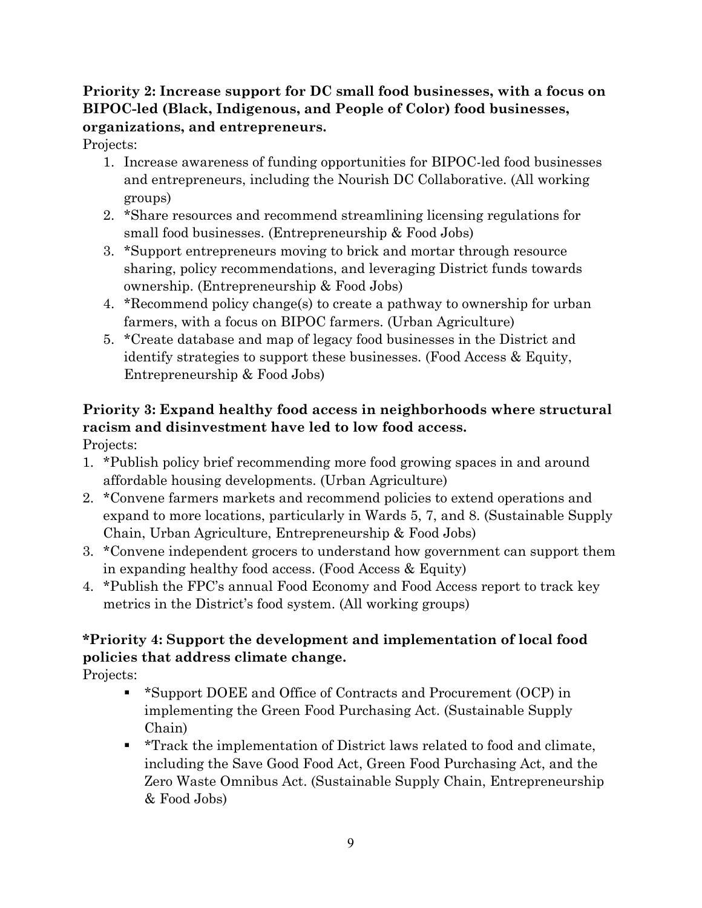# **Priority 2: Increase support for DC small food businesses, with a focus on BIPOC-led (Black, Indigenous, and People of Color) food businesses, organizations, and entrepreneurs.**

Projects:

- 1. Increase awareness of funding opportunities for BIPOC-led food businesses and entrepreneurs, including the Nourish DC Collaborative. (All working groups)
- 2. \*Share resources and recommend streamlining licensing regulations for small food businesses. (Entrepreneurship & Food Jobs)
- 3. \*Support entrepreneurs moving to brick and mortar through resource sharing, policy recommendations, and leveraging District funds towards ownership. (Entrepreneurship & Food Jobs)
- 4. \*Recommend policy change(s) to create a pathway to ownership for urban farmers, with a focus on BIPOC farmers. (Urban Agriculture)
- 5. \*Create database and map of legacy food businesses in the District and identify strategies to support these businesses. (Food Access & Equity, Entrepreneurship & Food Jobs)

# **Priority 3: Expand healthy food access in neighborhoods where structural racism and disinvestment have led to low food access.**

Projects:

- 1. \*Publish policy brief recommending more food growing spaces in and around affordable housing developments. (Urban Agriculture)
- 2. \*Convene farmers markets and recommend policies to extend operations and expand to more locations, particularly in Wards 5, 7, and 8. (Sustainable Supply Chain, Urban Agriculture, Entrepreneurship & Food Jobs)
- 3. \*Convene independent grocers to understand how government can support them in expanding healthy food access. (Food Access & Equity)
- 4. \*Publish the FPC's annual Food Economy and Food Access report to track key metrics in the District's food system. (All working groups)

# **\*Priority 4: Support the development and implementation of local food policies that address climate change.**

Projects:

- \*Support DOEE and Office of Contracts and Procurement (OCP) in implementing the Green Food Purchasing Act. (Sustainable Supply Chain)
- **\*Track the implementation of District laws related to food and climate,** including the Save Good Food Act, Green Food Purchasing Act, and the Zero Waste Omnibus Act. (Sustainable Supply Chain, Entrepreneurship & Food Jobs)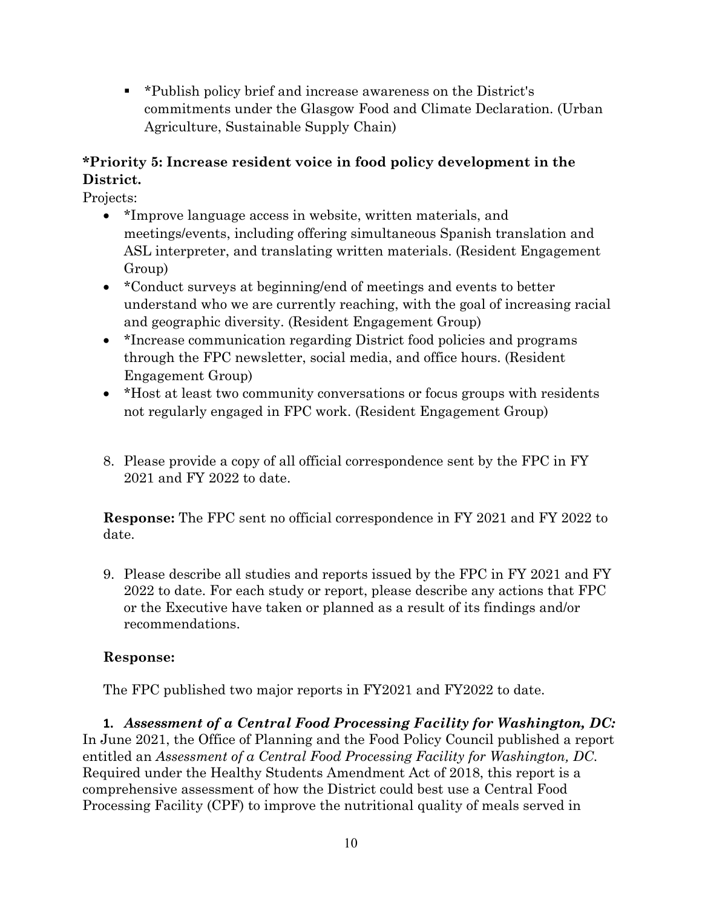\*Publish policy brief and increase awareness on the District's commitments under the Glasgow Food and Climate Declaration. (Urban Agriculture, Sustainable Supply Chain)

# **\*Priority 5: Increase resident voice in food policy development in the District.**

Projects:

- \*Improve language access in website, written materials, and meetings/events, including offering simultaneous Spanish translation and ASL interpreter, and translating written materials. (Resident Engagement Group)
- \*Conduct surveys at beginning/end of meetings and events to better understand who we are currently reaching, with the goal of increasing racial and geographic diversity. (Resident Engagement Group)
- \*Increase communication regarding District food policies and programs through the FPC newsletter, social media, and office hours. (Resident Engagement Group)
- \*Host at least two community conversations or focus groups with residents not regularly engaged in FPC work. (Resident Engagement Group)
- 8. Please provide a copy of all official correspondence sent by the FPC in FY 2021 and FY 2022 to date.

**Response:** The FPC sent no official correspondence in FY 2021 and FY 2022 to date.

9. Please describe all studies and reports issued by the FPC in FY 2021 and FY 2022 to date. For each study or report, please describe any actions that FPC or the Executive have taken or planned as a result of its findings and/or recommendations.

# **Response:**

The FPC published two major reports in FY2021 and FY2022 to date.

**1.** *Assessment of a Central Food Processing Facility for Washington, DC:* In June 2021, the Office of Planning and the Food Policy Council published a report entitled an *Assessment of a Central Food Processing Facility for Washington, DC*. Required under the Healthy Students Amendment Act of 2018, this report is a comprehensive assessment of how the District could best use a Central Food Processing Facility (CPF) to improve the nutritional quality of meals served in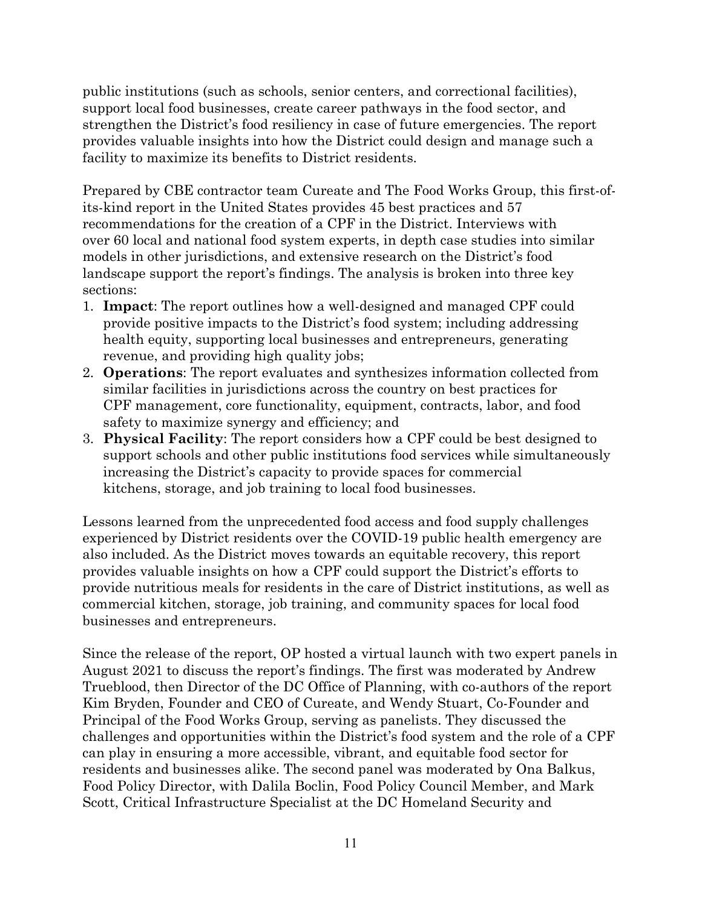public institutions (such as schools, senior centers, and correctional facilities), support local food businesses, create career pathways in the food sector, and strengthen the District's food resiliency in case of future emergencies. The report provides valuable insights into how the District could design and manage such a facility to maximize its benefits to District residents.

Prepared by CBE contractor team Cureate and The Food Works Group, this first-ofits-kind report in the United States provides 45 best practices and 57 recommendations for the creation of a CPF in the District. Interviews with over 60 local and national food system experts, in depth case studies into similar models in other jurisdictions, and extensive research on the District's food landscape support the report's findings. The analysis is broken into three key sections:

- 1. **Impact**: The report outlines how a well-designed and managed CPF could provide positive impacts to the District's food system; including addressing health equity, supporting local businesses and entrepreneurs, generating revenue, and providing high quality jobs;
- 2. **Operations**: The report evaluates and synthesizes information collected from similar facilities in jurisdictions across the country on best practices for CPF management, core functionality, equipment, contracts, labor, and food safety to maximize synergy and efficiency; and
- 3. **Physical Facility**: The report considers how a CPF could be best designed to support schools and other public institutions food services while simultaneously increasing the District's capacity to provide spaces for commercial kitchens, storage, and job training to local food businesses.

Lessons learned from the unprecedented food access and food supply challenges experienced by District residents over the COVID-19 public health emergency are also included. As the District moves towards an equitable recovery, this report provides valuable insights on how a CPF could support the District's efforts to provide nutritious meals for residents in the care of District institutions, as well as commercial kitchen, storage, job training, and community spaces for local food businesses and entrepreneurs.

Since the release of the report, OP hosted a virtual launch with two expert panels in August 2021 to discuss the report's findings. The first was moderated by Andrew Trueblood, then Director of the DC Office of Planning, with co-authors of the report Kim Bryden, Founder and CEO of Cureate, and Wendy Stuart, Co-Founder and Principal of the Food Works Group, serving as panelists. They discussed the challenges and opportunities within the District's food system and the role of a CPF can play in ensuring a more accessible, vibrant, and equitable food sector for residents and businesses alike. The second panel was moderated by Ona Balkus, Food Policy Director, with Dalila Boclin, Food Policy Council Member, and Mark Scott, Critical Infrastructure Specialist at the DC Homeland Security and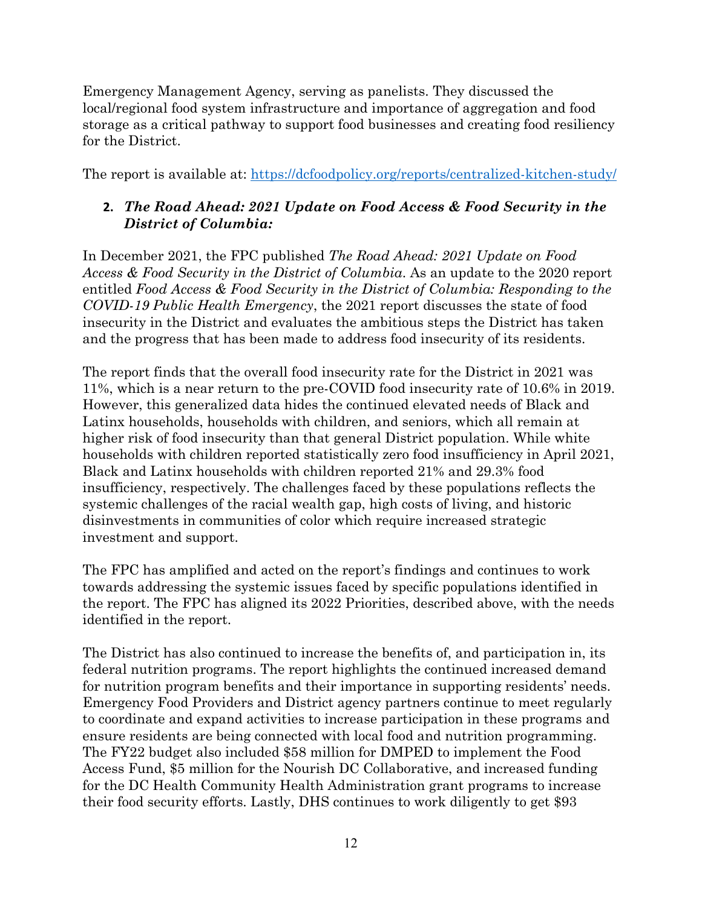Emergency Management Agency, serving as panelists. They discussed the local/regional food system infrastructure and importance of aggregation and food storage as a critical pathway to support food businesses and creating food resiliency for the District.

The report is available at:<https://dcfoodpolicy.org/reports/centralized-kitchen-study/>

### **2.** *The Road Ahead: 2021 Update on Food Access & Food Security in the District of Columbia:*

In December 2021, the FPC published *The Road Ahead: 2021 Update on Food Access & Food Security in the District of Columbia*. As an update to the 2020 report entitled *Food Access & Food Security in the District of Columbia: Responding to the COVID-19 Public Health Emergency*, the 2021 report discusses the state of food insecurity in the District and evaluates the ambitious steps the District has taken and the progress that has been made to address food insecurity of its residents.

The report finds that the overall food insecurity rate for the District in 2021 was 11%, which is a near return to the pre-COVID food insecurity rate of 10.6% in 2019. However, this generalized data hides the continued elevated needs of Black and Latinx households, households with children, and seniors, which all remain at higher risk of food insecurity than that general District population. While white households with children reported statistically zero food insufficiency in April 2021, Black and Latinx households with children reported 21% and 29.3% food insufficiency, respectively. The challenges faced by these populations reflects the systemic challenges of the racial wealth gap, high costs of living, and historic disinvestments in communities of color which require increased strategic investment and support.

The FPC has amplified and acted on the report's findings and continues to work towards addressing the systemic issues faced by specific populations identified in the report. The FPC has aligned its 2022 Priorities, described above, with the needs identified in the report.

The District has also continued to increase the benefits of, and participation in, its federal nutrition programs. The report highlights the continued increased demand for nutrition program benefits and their importance in supporting residents' needs. Emergency Food Providers and District agency partners continue to meet regularly to coordinate and expand activities to increase participation in these programs and ensure residents are being connected with local food and nutrition programming. The FY22 budget also included \$58 million for DMPED to implement the Food Access Fund, \$5 million for the Nourish DC Collaborative, and increased funding for the DC Health Community Health Administration grant programs to increase their food security efforts. Lastly, DHS continues to work diligently to get \$93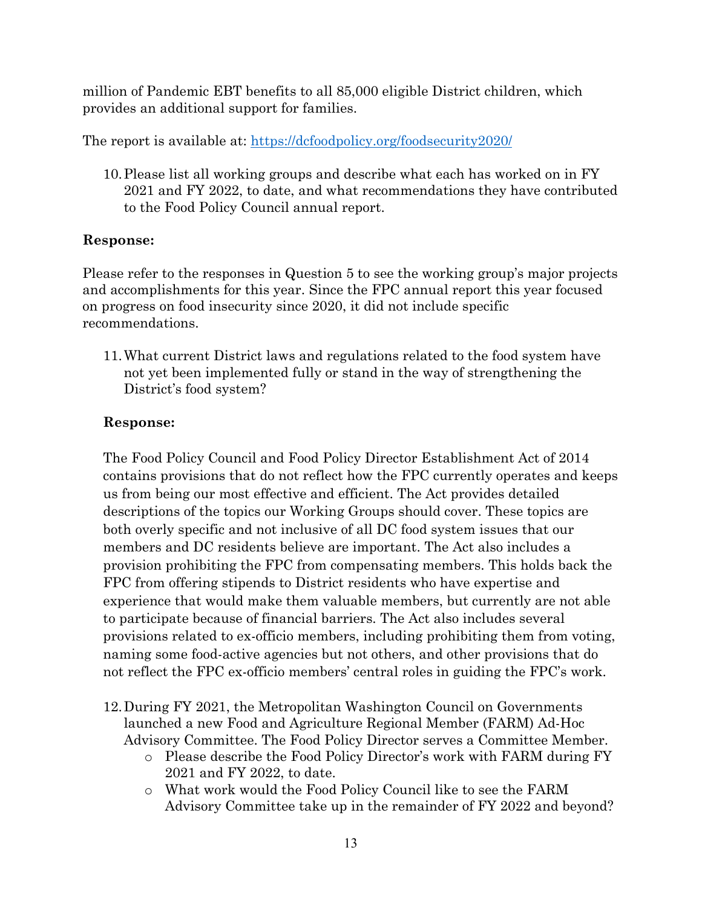million of Pandemic EBT benefits to all 85,000 eligible District children, which provides an additional support for families.

The report is available at:<https://dcfoodpolicy.org/foodsecurity2020/>

10.Please list all working groups and describe what each has worked on in FY 2021 and FY 2022, to date, and what recommendations they have contributed to the Food Policy Council annual report.

### **Response:**

Please refer to the responses in Question 5 to see the working group's major projects and accomplishments for this year. Since the FPC annual report this year focused on progress on food insecurity since 2020, it did not include specific recommendations.

11.What current District laws and regulations related to the food system have not yet been implemented fully or stand in the way of strengthening the District's food system?

### **Response:**

The Food Policy Council and Food Policy Director Establishment Act of 2014 contains provisions that do not reflect how the FPC currently operates and keeps us from being our most effective and efficient. The Act provides detailed descriptions of the topics our Working Groups should cover. These topics are both overly specific and not inclusive of all DC food system issues that our members and DC residents believe are important. The Act also includes a provision prohibiting the FPC from compensating members. This holds back the FPC from offering stipends to District residents who have expertise and experience that would make them valuable members, but currently are not able to participate because of financial barriers. The Act also includes several provisions related to ex-officio members, including prohibiting them from voting, naming some food-active agencies but not others, and other provisions that do not reflect the FPC ex-officio members' central roles in guiding the FPC's work.

- 12.During FY 2021, the Metropolitan Washington Council on Governments launched a new Food and Agriculture Regional Member (FARM) Ad-Hoc Advisory Committee. The Food Policy Director serves a Committee Member.
	- o Please describe the Food Policy Director's work with FARM during FY 2021 and FY 2022, to date.
	- o What work would the Food Policy Council like to see the FARM Advisory Committee take up in the remainder of FY 2022 and beyond?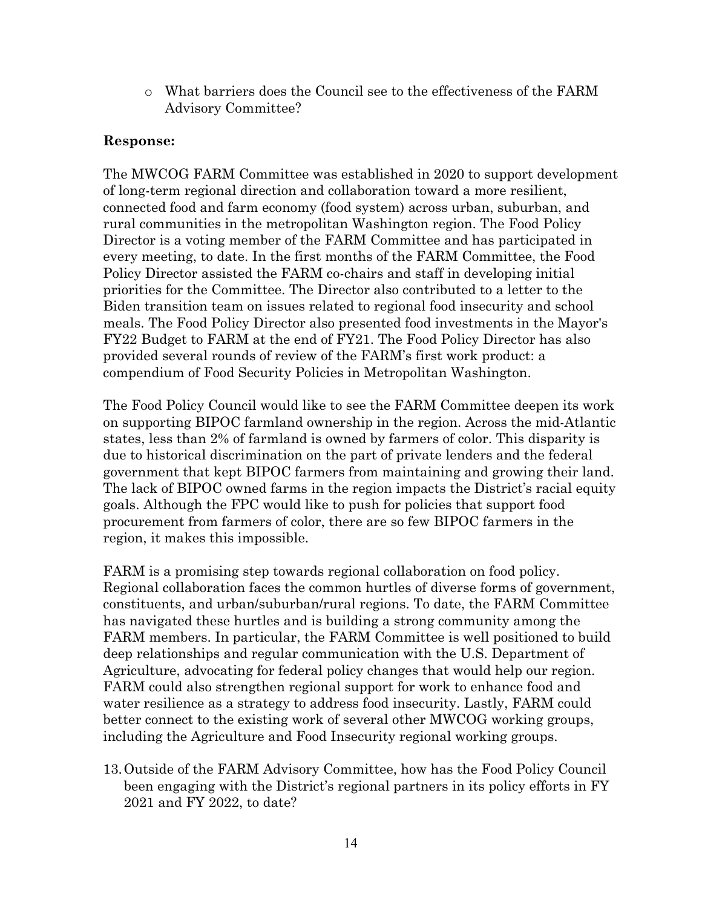o What barriers does the Council see to the effectiveness of the FARM Advisory Committee?

#### **Response:**

The MWCOG FARM Committee was established in 2020 to support development of long-term regional direction and collaboration toward a more resilient, connected food and farm economy (food system) across urban, suburban, and rural communities in the metropolitan Washington region. The Food Policy Director is a voting member of the FARM Committee and has participated in every meeting, to date. In the first months of the FARM Committee, the Food Policy Director assisted the FARM co-chairs and staff in developing initial priorities for the Committee. The Director also contributed to a letter to the Biden transition team on issues related to regional food insecurity and school meals. The Food Policy Director also presented food investments in the Mayor's FY22 Budget to FARM at the end of FY21. The Food Policy Director has also provided several rounds of review of the FARM's first work product: a compendium of Food Security Policies in Metropolitan Washington.

The Food Policy Council would like to see the FARM Committee deepen its work on supporting BIPOC farmland ownership in the region. Across the mid-Atlantic states, less than 2% of farmland is owned by farmers of color. This disparity is due to historical discrimination on the part of private lenders and the federal government that kept BIPOC farmers from maintaining and growing their land. The lack of BIPOC owned farms in the region impacts the District's racial equity goals. Although the FPC would like to push for policies that support food procurement from farmers of color, there are so few BIPOC farmers in the region, it makes this impossible.

FARM is a promising step towards regional collaboration on food policy. Regional collaboration faces the common hurtles of diverse forms of government, constituents, and urban/suburban/rural regions. To date, the FARM Committee has navigated these hurtles and is building a strong community among the FARM members. In particular, the FARM Committee is well positioned to build deep relationships and regular communication with the U.S. Department of Agriculture, advocating for federal policy changes that would help our region. FARM could also strengthen regional support for work to enhance food and water resilience as a strategy to address food insecurity. Lastly, FARM could better connect to the existing work of several other MWCOG working groups, including the Agriculture and Food Insecurity regional working groups.

13.Outside of the FARM Advisory Committee, how has the Food Policy Council been engaging with the District's regional partners in its policy efforts in FY 2021 and FY 2022, to date?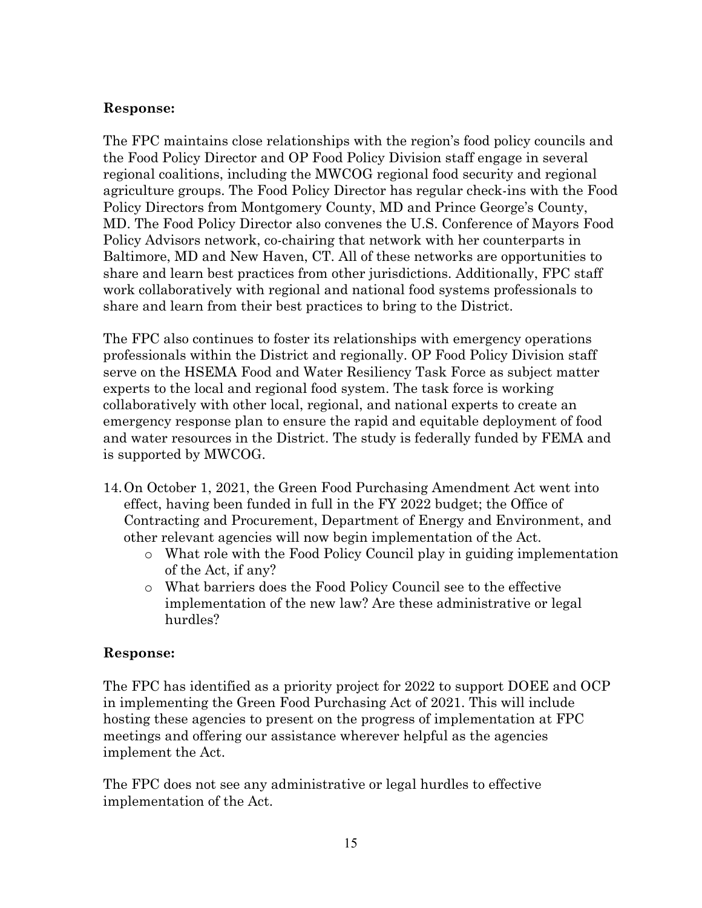### **Response:**

The FPC maintains close relationships with the region's food policy councils and the Food Policy Director and OP Food Policy Division staff engage in several regional coalitions, including the MWCOG regional food security and regional agriculture groups. The Food Policy Director has regular check-ins with the Food Policy Directors from Montgomery County, MD and Prince George's County, MD. The Food Policy Director also convenes the U.S. Conference of Mayors Food Policy Advisors network, co-chairing that network with her counterparts in Baltimore, MD and New Haven, CT. All of these networks are opportunities to share and learn best practices from other jurisdictions. Additionally, FPC staff work collaboratively with regional and national food systems professionals to share and learn from their best practices to bring to the District.

The FPC also continues to foster its relationships with emergency operations professionals within the District and regionally. OP Food Policy Division staff serve on the HSEMA Food and Water Resiliency Task Force as subject matter experts to the local and regional food system. The task force is working collaboratively with other local, regional, and national experts to create an emergency response plan to ensure the rapid and equitable deployment of food and water resources in the District. The study is federally funded by FEMA and is supported by MWCOG.

- 14.On October 1, 2021, the Green Food Purchasing Amendment Act went into effect, having been funded in full in the FY 2022 budget; the Office of Contracting and Procurement, Department of Energy and Environment, and other relevant agencies will now begin implementation of the Act.
	- o What role with the Food Policy Council play in guiding implementation of the Act, if any?
	- o What barriers does the Food Policy Council see to the effective implementation of the new law? Are these administrative or legal hurdles?

### **Response:**

The FPC has identified as a priority project for 2022 to support DOEE and OCP in implementing the Green Food Purchasing Act of 2021. This will include hosting these agencies to present on the progress of implementation at FPC meetings and offering our assistance wherever helpful as the agencies implement the Act.

The FPC does not see any administrative or legal hurdles to effective implementation of the Act.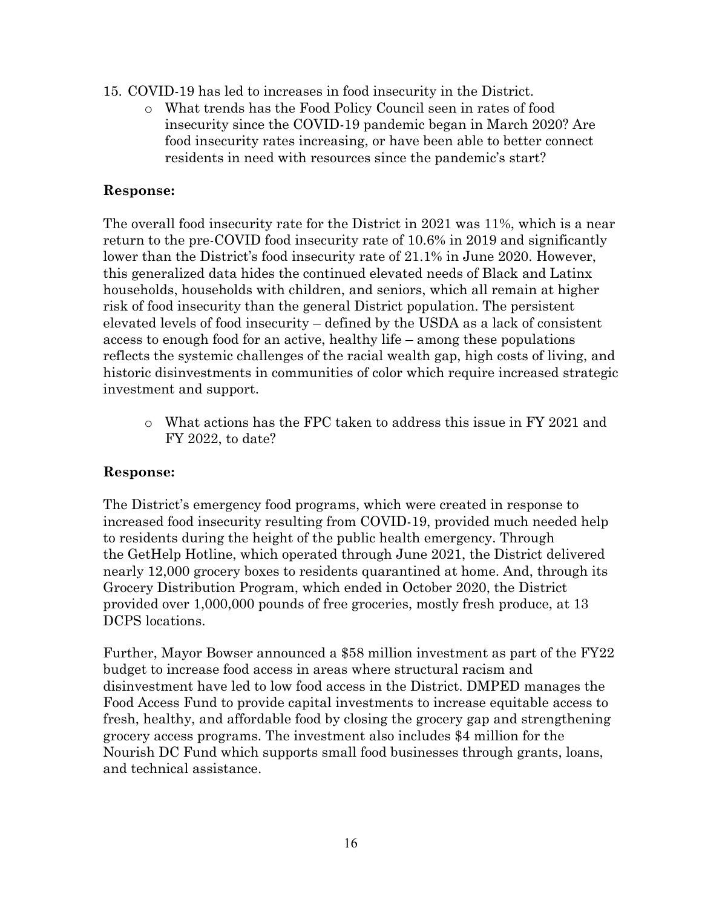- 15. COVID-19 has led to increases in food insecurity in the District.
	- o What trends has the Food Policy Council seen in rates of food insecurity since the COVID-19 pandemic began in March 2020? Are food insecurity rates increasing, or have been able to better connect residents in need with resources since the pandemic's start?

### **Response:**

The overall food insecurity rate for the District in 2021 was 11%, which is a near return to the pre-COVID food insecurity rate of 10.6% in 2019 and significantly lower than the District's food insecurity rate of 21.1% in June 2020. However, this generalized data hides the continued elevated needs of Black and Latinx households, households with children, and seniors, which all remain at higher risk of food insecurity than the general District population. The persistent elevated levels of food insecurity – defined by the USDA as a lack of consistent access to enough food for an active, healthy life – among these populations reflects the systemic challenges of the racial wealth gap, high costs of living, and historic disinvestments in communities of color which require increased strategic investment and support.

o What actions has the FPC taken to address this issue in FY 2021 and FY 2022, to date?

### **Response:**

The District's emergency food programs, which were created in response to increased food insecurity resulting from COVID-19, provided much needed help to residents during the height of the public health emergency. Through the GetHelp Hotline, which operated through June 2021, the District delivered nearly 12,000 grocery boxes to residents quarantined at home. And, through its Grocery Distribution Program, which ended in October 2020, the District provided over 1,000,000 pounds of free groceries, mostly fresh produce, at 13 DCPS locations.

Further, Mayor Bowser announced a \$58 million investment as part of the FY22 budget to increase food access in areas where structural racism and disinvestment have led to low food access in the District. DMPED manages the Food Access Fund to provide capital investments to increase equitable access to fresh, healthy, and affordable food by closing the grocery gap and strengthening grocery access programs. The investment also includes \$4 million for the Nourish DC Fund which supports small food businesses through grants, loans, and technical assistance.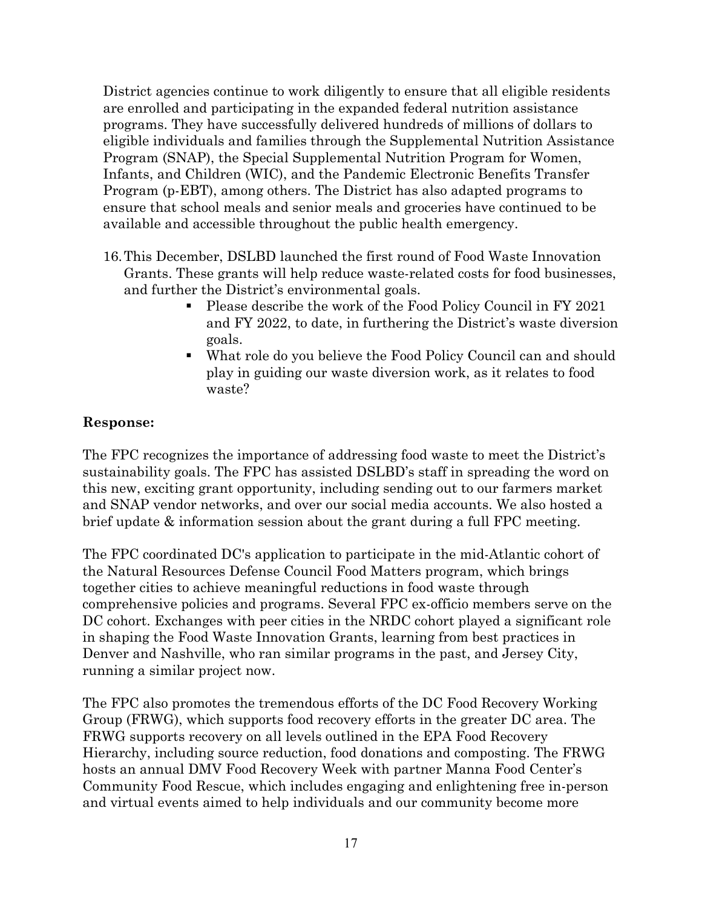District agencies continue to work diligently to ensure that all eligible residents are enrolled and participating in the expanded federal nutrition assistance programs. They have successfully delivered hundreds of millions of dollars to eligible individuals and families through the Supplemental Nutrition Assistance Program (SNAP), the Special Supplemental Nutrition Program for Women, Infants, and Children (WIC), and the Pandemic Electronic Benefits Transfer Program (p-EBT), among others. The District has also adapted programs to ensure that school meals and senior meals and groceries have continued to be available and accessible throughout the public health emergency.

- 16.This December, DSLBD launched the first round of Food Waste Innovation Grants. These grants will help reduce waste-related costs for food businesses, and further the District's environmental goals.
	- Please describe the work of the Food Policy Council in FY 2021 and FY 2022, to date, in furthering the District's waste diversion goals.
	- What role do you believe the Food Policy Council can and should play in guiding our waste diversion work, as it relates to food waste?

### **Response:**

The FPC recognizes the importance of addressing food waste to meet the District's sustainability goals. The FPC has assisted DSLBD's staff in spreading the word on this new, exciting grant opportunity, including sending out to our farmers market and SNAP vendor networks, and over our social media accounts. We also hosted a brief update & information session about the grant during a full FPC meeting.

The FPC coordinated DC's application to participate in the mid-Atlantic cohort of the Natural Resources Defense Council Food Matters program, which brings together cities to achieve meaningful reductions in food waste through comprehensive policies and programs. Several FPC ex-officio members serve on the DC cohort. Exchanges with peer cities in the NRDC cohort played a significant role in shaping the Food Waste Innovation Grants, learning from best practices in Denver and Nashville, who ran similar programs in the past, and Jersey City, running a similar project now.

The FPC also promotes the tremendous efforts of the DC Food Recovery Working Group (FRWG), which supports food recovery efforts in the greater DC area. The FRWG supports recovery on all levels outlined in the EPA Food Recovery Hierarchy, including source reduction, food donations and composting. The FRWG hosts an annual DMV Food Recovery Week with partner Manna Food Center's Community Food Rescue, which includes engaging and enlightening free in-person and virtual events aimed to help individuals and our community become more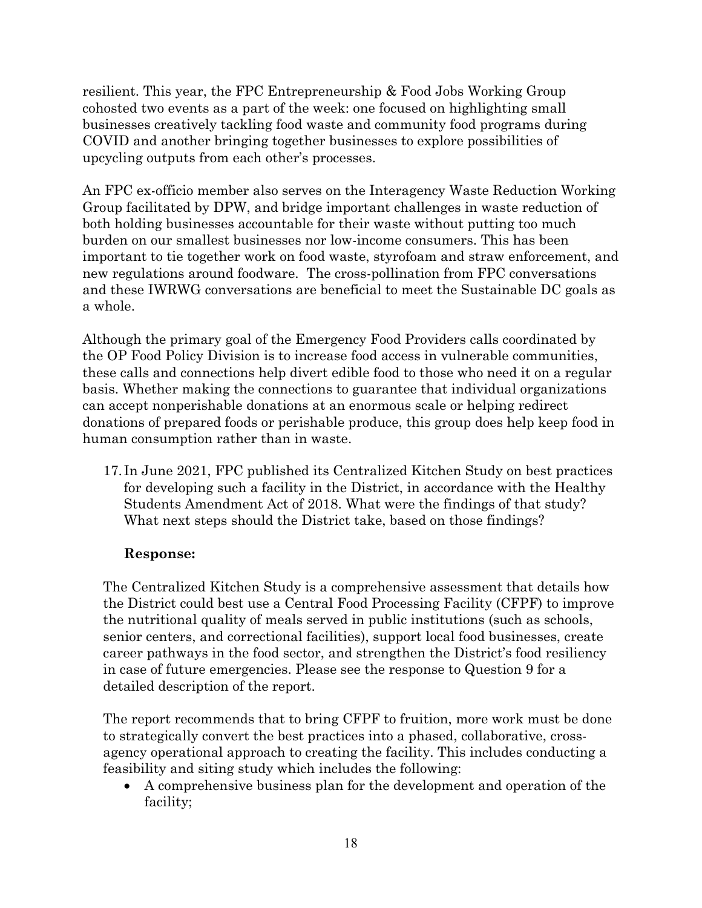resilient. This year, the FPC Entrepreneurship & Food Jobs Working Group cohosted two events as a part of the week: one focused on highlighting small businesses creatively tackling food waste and community food programs during COVID and another bringing together businesses to explore possibilities of upcycling outputs from each other's processes.

An FPC ex-officio member also serves on the Interagency Waste Reduction Working Group facilitated by DPW, and bridge important challenges in waste reduction of both holding businesses accountable for their waste without putting too much burden on our smallest businesses nor low-income consumers. This has been important to tie together work on food waste, styrofoam and straw enforcement, and new regulations around foodware. The cross-pollination from FPC conversations and these IWRWG conversations are beneficial to meet the Sustainable DC goals as a whole.

Although the primary goal of the Emergency Food Providers calls coordinated by the OP Food Policy Division is to increase food access in vulnerable communities, these calls and connections help divert edible food to those who need it on a regular basis. Whether making the connections to guarantee that individual organizations can accept nonperishable donations at an enormous scale or helping redirect donations of prepared foods or perishable produce, this group does help keep food in human consumption rather than in waste.

17. In June 2021, FPC published its Centralized Kitchen Study on best practices for developing such a facility in the District, in accordance with the Healthy Students Amendment Act of 2018. What were the findings of that study? What next steps should the District take, based on those findings?

### **Response:**

The Centralized Kitchen Study is a comprehensive assessment that details how the District could best use a Central Food Processing Facility (CFPF) to improve the nutritional quality of meals served in public institutions (such as schools, senior centers, and correctional facilities), support local food businesses, create career pathways in the food sector, and strengthen the District's food resiliency in case of future emergencies. Please see the response to Question 9 for a detailed description of the report.

The report recommends that to bring CFPF to fruition, more work must be done to strategically convert the best practices into a phased, collaborative, crossagency operational approach to creating the facility. This includes conducting a feasibility and siting study which includes the following:

• A comprehensive business plan for the development and operation of the facility;